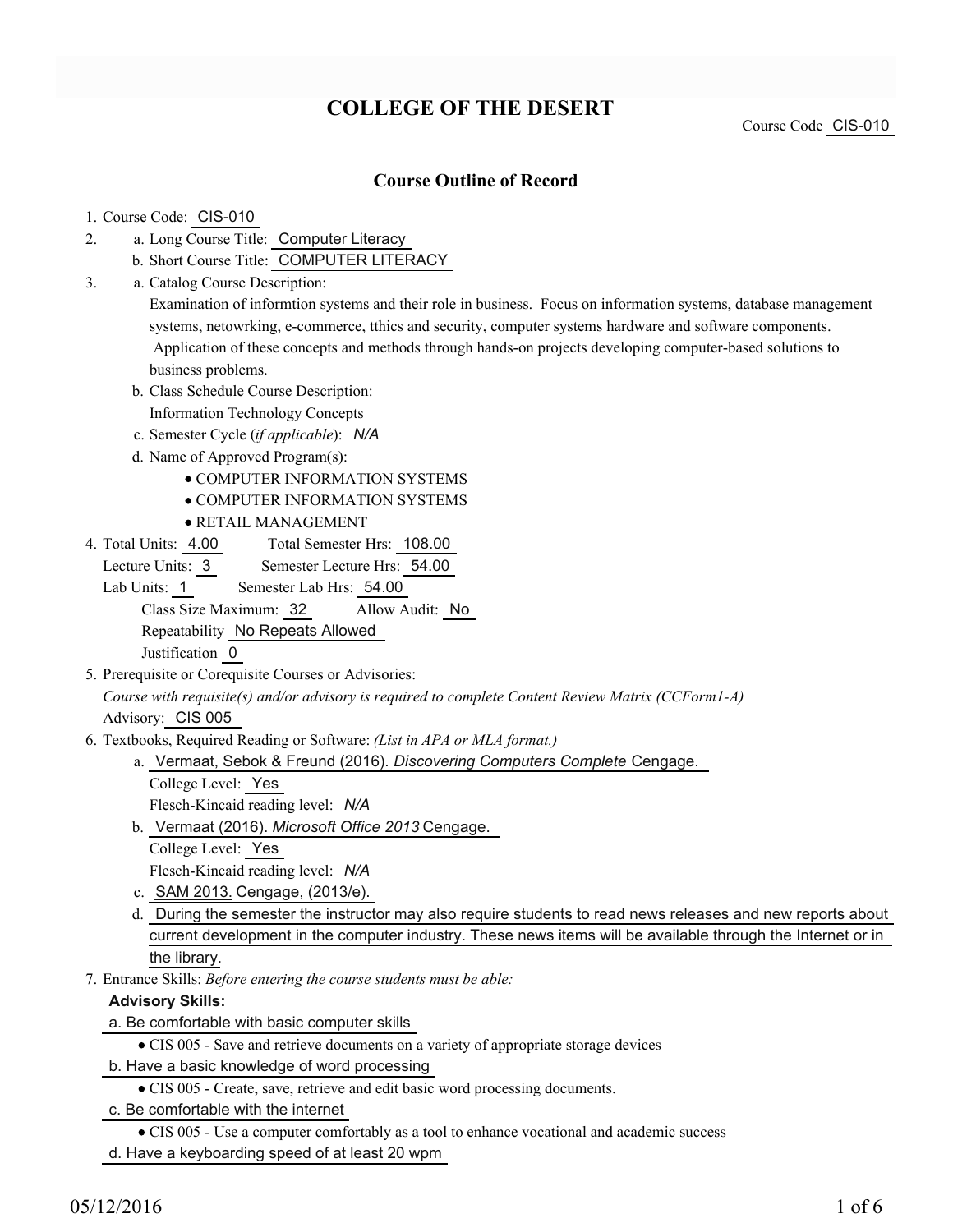# **COLLEGE OF THE DESERT**

Course Code CIS-010

### **Course Outline of Record**

#### 1. Course Code: CIS-010

- a. Long Course Title: Computer Literacy 2.
	- b. Short Course Title: COMPUTER LITERACY
- Catalog Course Description: a. 3.

Examination of informtion systems and their role in business. Focus on information systems, database management systems, netowrking, e-commerce, tthics and security, computer systems hardware and software components. Application of these concepts and methods through hands-on projects developing computer-based solutions to business problems.

b. Class Schedule Course Description:

Information Technology Concepts

- c. Semester Cycle (*if applicable*): *N/A*
- d. Name of Approved Program(s):
	- COMPUTER INFORMATION SYSTEMS
	- COMPUTER INFORMATION SYSTEMS
	- RETAIL MANAGEMENT
- Total Semester Hrs: 108.00 4. Total Units: 4.00

Lecture Units: 3 Semester Lecture Hrs: 54.00

Lab Units: 1 Semester Lab Hrs: 54.00

Class Size Maximum: 32 Allow Audit: No

Repeatability No Repeats Allowed

Justification 0

- 5. Prerequisite or Corequisite Courses or Advisories: *Course with requisite(s) and/or advisory is required to complete Content Review Matrix (CCForm1-A)* Advisory: CIS 005
- Textbooks, Required Reading or Software: *(List in APA or MLA format.)* 6.
	- a. Vermaat, Sebok & Freund (2016). *Discovering Computers Complete* Cengage.
		- College Level: Yes

Flesch-Kincaid reading level: *N/A*

b. Vermaat (2016). Microsoft Office 2013 Cengage.

College Level: Yes

- Flesch-Kincaid reading level: *N/A*
- c. SAM 2013. Cengage, (2013/e).
- d. During the semester the instructor may also require students to read news releases and new reports about current development in the computer industry. These news items will be available through the Internet or in the library.
- Entrance Skills: *Before entering the course students must be able:* 7.

#### **Advisory Skills:**

a. Be comfortable with basic computer skills

- CIS 005 Save and retrieve documents on a variety of appropriate storage devices
- b. Have a basic knowledge of word processing
	- CIS 005 Create, save, retrieve and edit basic word processing documents.
- c. Be comfortable with the internet

CIS 005 - Use a computer comfortably as a tool to enhance vocational and academic success

d. Have a keyboarding speed of at least 20 wpm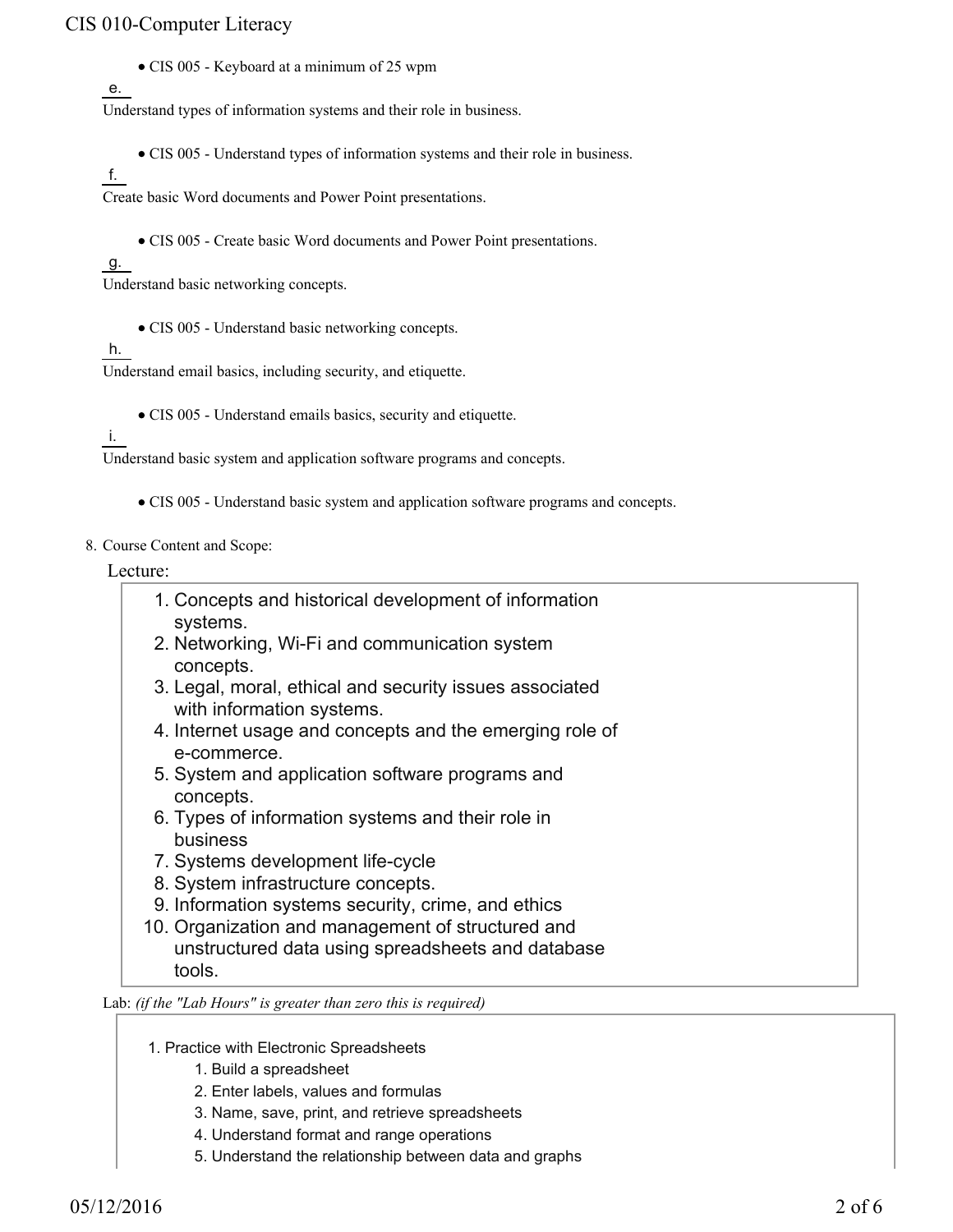CIS 005 - Keyboard at a minimum of 25 wpm

### e.

Understand types of information systems and their role in business.

- CIS 005 Understand types of information systems and their role in business.
- f.

Create basic Word documents and Power Point presentations.

CIS 005 - Create basic Word documents and Power Point presentations.

#### g.

Understand basic networking concepts.

• CIS 005 - Understand basic networking concepts.

#### h.

Understand email basics, including security, and etiquette.

CIS 005 - Understand emails basics, security and etiquette.

#### i.

Understand basic system and application software programs and concepts.

- CIS 005 Understand basic system and application software programs and concepts.
- 8. Course Content and Scope:

#### Lecture:

- Concepts and historical development of information 1. systems.
- 2. Networking, Wi-Fi and communication system concepts.
- 3. Legal, moral, ethical and security issues associated with information systems.
- 4. Internet usage and concepts and the emerging role of e-commerce.
- 5. System and application software programs and concepts.
- 6. Types of information systems and their role in business
- 7. Systems development life-cycle
- 8. System infrastructure concepts.
- 9. Information systems security, crime, and ethics
- 10. Organization and management of structured and unstructured data using spreadsheets and database tools.

#### Lab: *(if the "Lab Hours" is greater than zero this is required)*

- 1. Practice with Electronic Spreadsheets
	- 1. Build a spreadsheet
	- 2. Enter labels, values and formulas
	- 3. Name, save, print, and retrieve spreadsheets
	- 4. Understand format and range operations
	- 5. Understand the relationship between data and graphs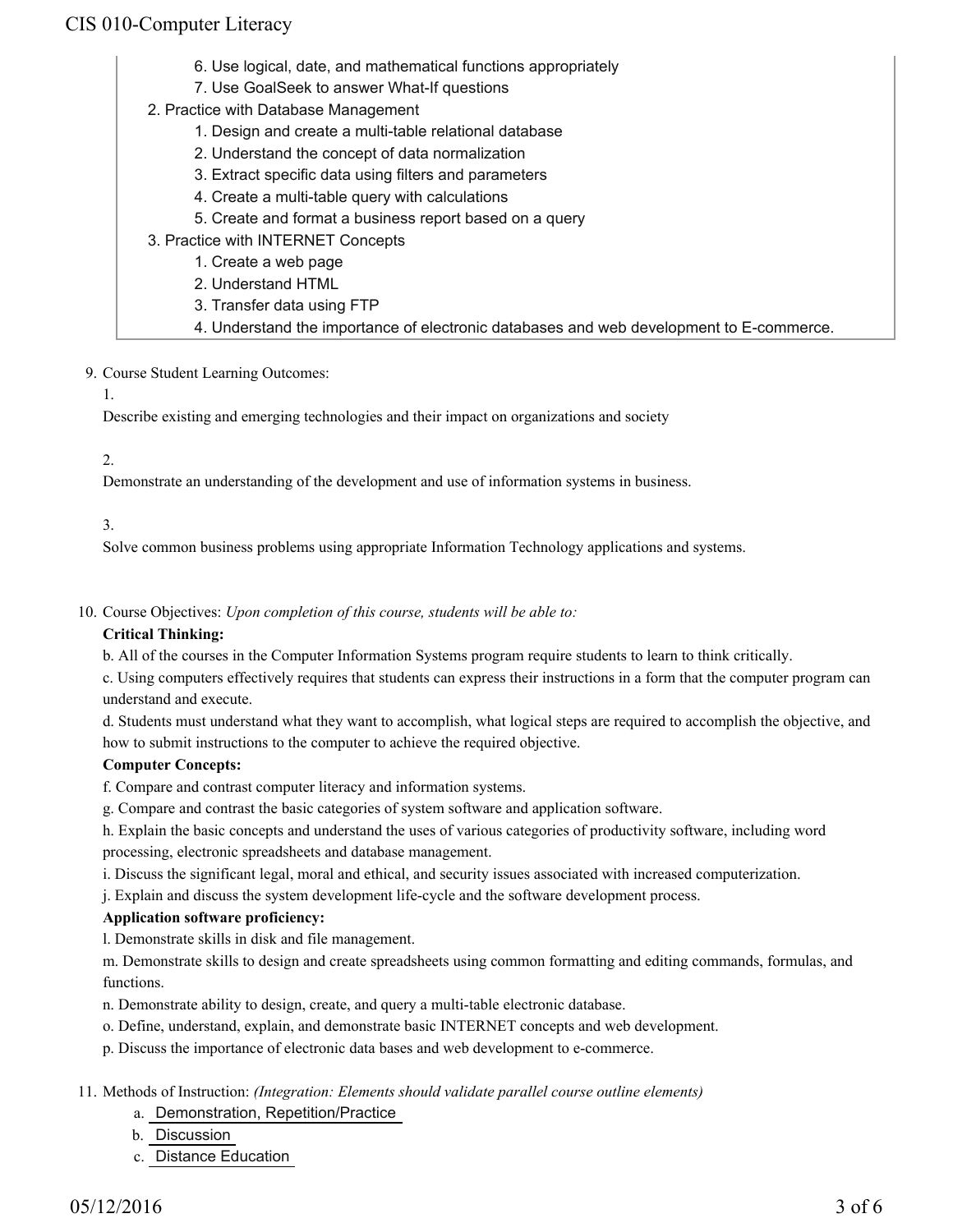- 6. Use logical, date, and mathematical functions appropriately
- 7. Use GoalSeek to answer What-If questions
- 2. Practice with Database Management
	- 1. Design and create a multi-table relational database
	- 2. Understand the concept of data normalization
	- 3. Extract specific data using filters and parameters
	- 4. Create a multi-table query with calculations
	- 5. Create and format a business report based on a query
- 3. Practice with INTERNET Concepts
	- 1. Create a web page
	- 2. Understand HTML
	- 3. Transfer data using FTP
	- 4. Understand the importance of electronic databases and web development to E-commerce.
- 9. Course Student Learning Outcomes:
	- 1.

Describe existing and emerging technologies and their impact on organizations and society

#### 2.

Demonstrate an understanding of the development and use of information systems in business.

#### 3.

Solve common business problems using appropriate Information Technology applications and systems.

10. Course Objectives: Upon completion of this course, students will be able to:

#### **Critical Thinking:**

b. All of the courses in the Computer Information Systems program require students to learn to think critically.

c. Using computers effectively requires that students can express their instructions in a form that the computer program can understand and execute.

d. Students must understand what they want to accomplish, what logical steps are required to accomplish the objective, and how to submit instructions to the computer to achieve the required objective.

#### **Computer Concepts:**

f. Compare and contrast computer literacy and information systems.

g. Compare and contrast the basic categories of system software and application software.

h. Explain the basic concepts and understand the uses of various categories of productivity software, including word processing, electronic spreadsheets and database management.

i. Discuss the significant legal, moral and ethical, and security issues associated with increased computerization.

j. Explain and discuss the system development life-cycle and the software development process.

#### **Application software proficiency:**

l. Demonstrate skills in disk and file management.

m. Demonstrate skills to design and create spreadsheets using common formatting and editing commands, formulas, and functions.

- n. Demonstrate ability to design, create, and query a multi-table electronic database.
- o. Define, understand, explain, and demonstrate basic INTERNET concepts and web development.
- p. Discuss the importance of electronic data bases and web development to e-commerce.

#### Methods of Instruction: *(Integration: Elements should validate parallel course outline elements)* 11.

- a. Demonstration, Repetition/Practice
- b. Discussion
- c. Distance Education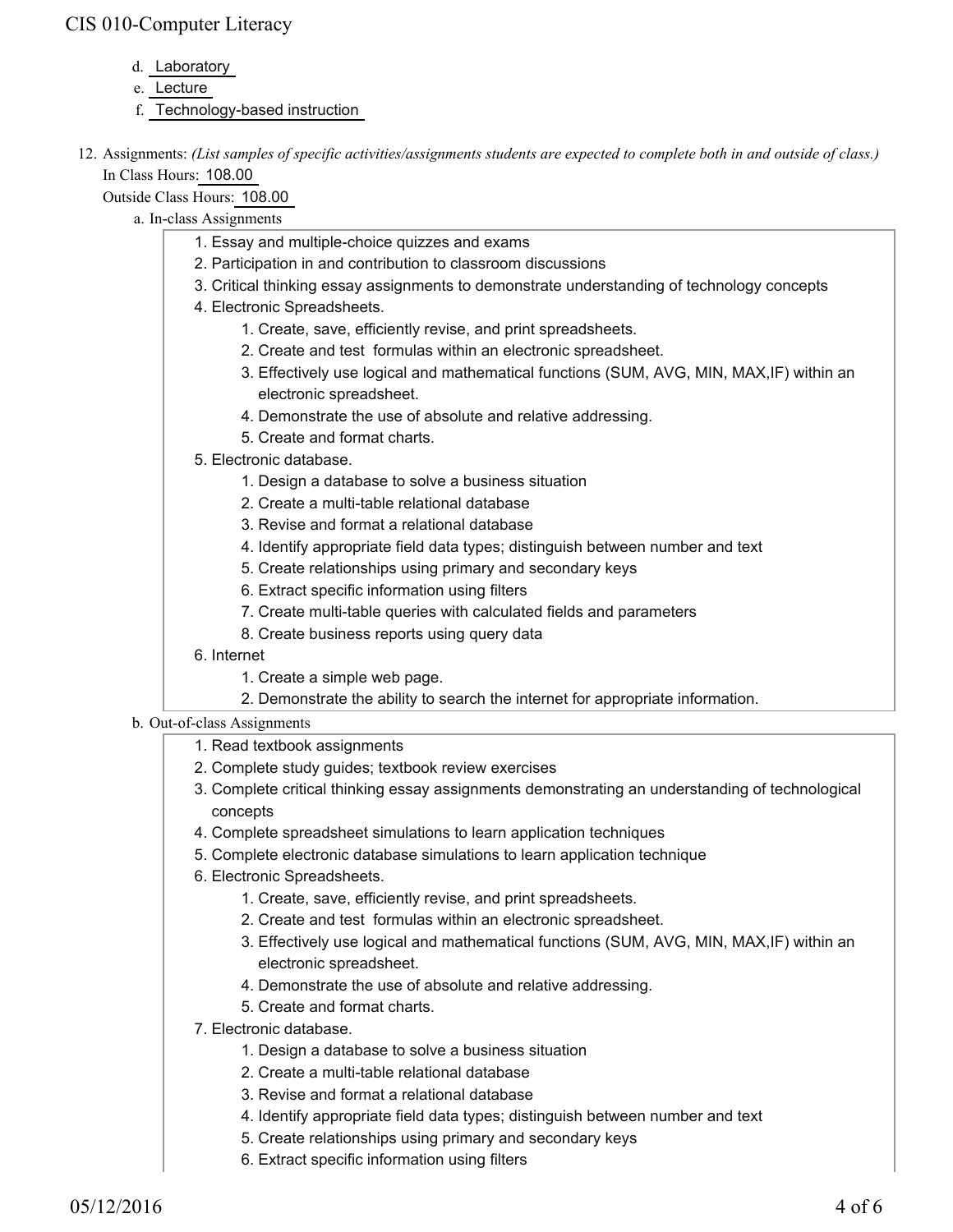- d. Laboratory
- e. Lecture
- f. Technology-based instruction
- 12. Assignments: (List samples of specific activities/assignments students are expected to complete both in and outside of class.) In Class Hours: 108.00

Outside Class Hours: 108.00

- a. In-class Assignments
	- 1. Essay and multiple-choice quizzes and exams
	- 2. Participation in and contribution to classroom discussions
	- 3. Critical thinking essay assignments to demonstrate understanding of technology concepts
	- 4. Electronic Spreadsheets.
		- 1. Create, save, efficiently revise, and print spreadsheets.
		- 2. Create and test formulas within an electronic spreadsheet.
		- Effectively use logical and mathematical functions (SUM, AVG, MIN, MAX,IF) within an 3. electronic spreadsheet.
		- 4. Demonstrate the use of absolute and relative addressing.
		- 5. Create and format charts.
	- Electronic database. 5.
		- 1. Design a database to solve a business situation
		- 2. Create a multi-table relational database
		- 3. Revise and format a relational database
		- 4. Identify appropriate field data types; distinguish between number and text
		- 5. Create relationships using primary and secondary keys
		- 6. Extract specific information using filters
		- 7. Create multi-table queries with calculated fields and parameters
		- 8. Create business reports using query data
	- 6. Internet
		- 1. Create a simple web page.
		- 2. Demonstrate the ability to search the internet for appropriate information.

#### b. Out-of-class Assignments

- 1. Read textbook assignments
- 2. Complete study guides; textbook review exercises
- 3. Complete critical thinking essay assignments demonstrating an understanding of technological concepts
- 4. Complete spreadsheet simulations to learn application techniques
- 5. Complete electronic database simulations to learn application technique
- 6. Electronic Spreadsheets.
	- 1. Create, save, efficiently revise, and print spreadsheets.
	- 2. Create and test formulas within an electronic spreadsheet.
	- Effectively use logical and mathematical functions (SUM, AVG, MIN, MAX,IF) within an 3. electronic spreadsheet.
	- 4. Demonstrate the use of absolute and relative addressing.
	- 5. Create and format charts.
- Electronic database. 7.
	- 1. Design a database to solve a business situation
	- 2. Create a multi-table relational database
	- 3. Revise and format a relational database
	- 4. Identify appropriate field data types; distinguish between number and text
	- 5. Create relationships using primary and secondary keys
	- 6. Extract specific information using filters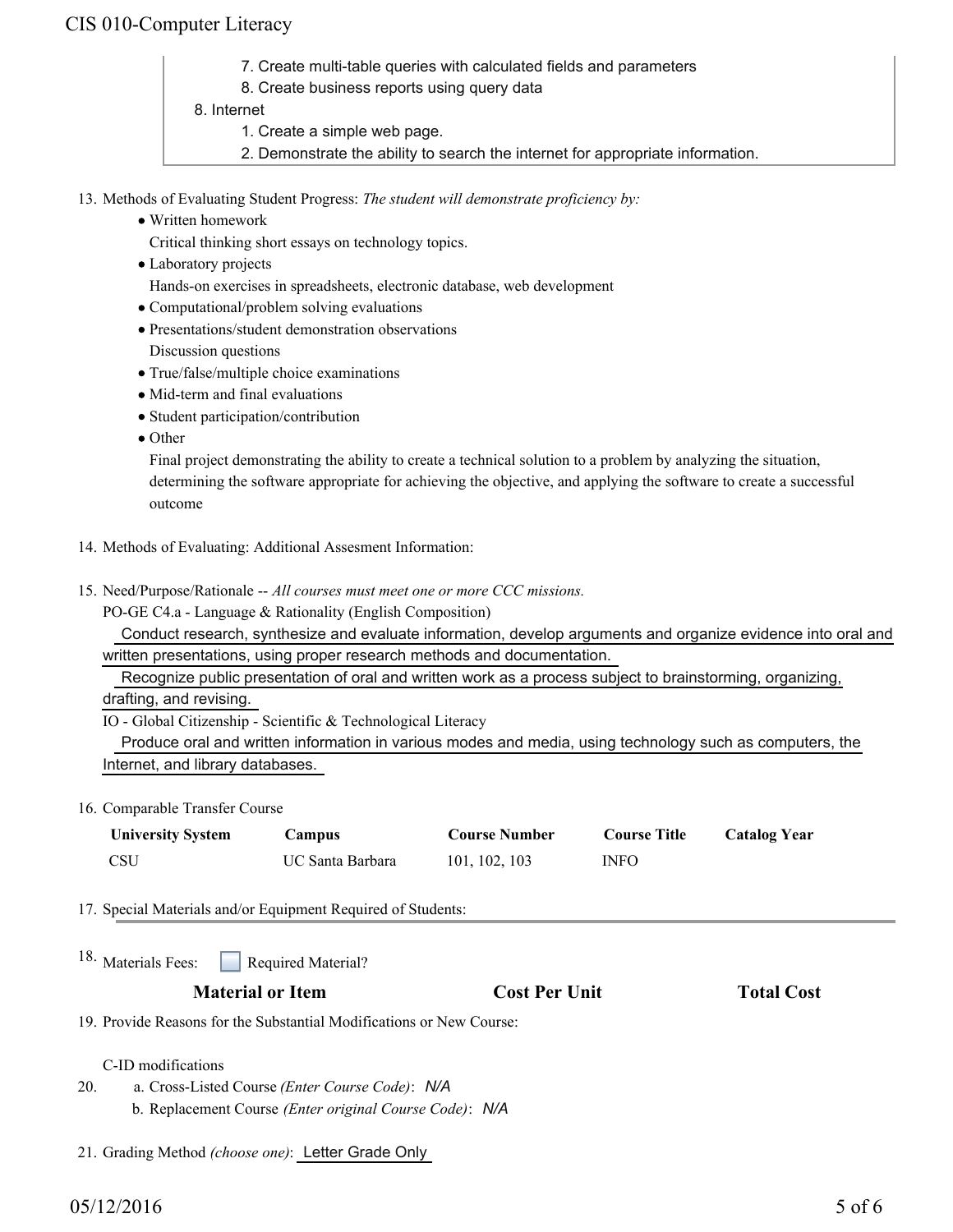- 7. Create multi-table queries with calculated fields and parameters
- 8. Create business reports using query data
- 8. Internet
	- 1. Create a simple web page.
	- 2. Demonstrate the ability to search the internet for appropriate information.
- 13. Methods of Evaluating Student Progress: The student will demonstrate proficiency by:
	- Written homework
		- Critical thinking short essays on technology topics.
	- Laboratory projects Hands-on exercises in spreadsheets, electronic database, web development
	- Computational/problem solving evaluations
	- Presentations/student demonstration observations Discussion questions
	- True/false/multiple choice examinations
	- Mid-term and final evaluations
	- Student participation/contribution
	- Other

Final project demonstrating the ability to create a technical solution to a problem by analyzing the situation, determining the software appropriate for achieving the objective, and applying the software to create a successful outcome

- 14. Methods of Evaluating: Additional Assesment Information:
- 15. Need/Purpose/Rationale -- All courses must meet one or more CCC missions.

PO-GE C4.a - Language & Rationality (English Composition)

 Conduct research, synthesize and evaluate information, develop arguments and organize evidence into oral and written presentations, using proper research methods and documentation.

Recognize public presentation of oral and written work as a process subject to brainstorming, organizing,

drafting, and revising.

IO - Global Citizenship - Scientific & Technological Literacy

 Produce oral and written information in various modes and media, using technology such as computers, the Internet, and library databases.

16. Comparable Transfer Course

| <b>University System</b> | Campus           | <b>Course Number</b> | <b>Course Title</b> | <b>Catalog Year</b> |
|--------------------------|------------------|----------------------|---------------------|---------------------|
| <b>CSU</b>               | UC Santa Barbara | 101, 102, 103        | <b>INFO</b>         |                     |

17. Special Materials and/or Equipment Required of Students:

|                                                                      | 18. Materials Fees: Required Material?                   |                      |                   |  |  |
|----------------------------------------------------------------------|----------------------------------------------------------|----------------------|-------------------|--|--|
| <b>Material or Item</b>                                              |                                                          | <b>Cost Per Unit</b> | <b>Total Cost</b> |  |  |
| 19. Provide Reasons for the Substantial Modifications or New Course: |                                                          |                      |                   |  |  |
|                                                                      | C-ID modifications                                       |                      |                   |  |  |
| 20.                                                                  | a. Cross-Listed Course ( <i>Enter Course Code</i> ): N/A |                      |                   |  |  |
|                                                                      | b. Replacement Course (Enter original Course Code): N/A  |                      |                   |  |  |

21. Grading Method *(choose one)*: Letter Grade Only